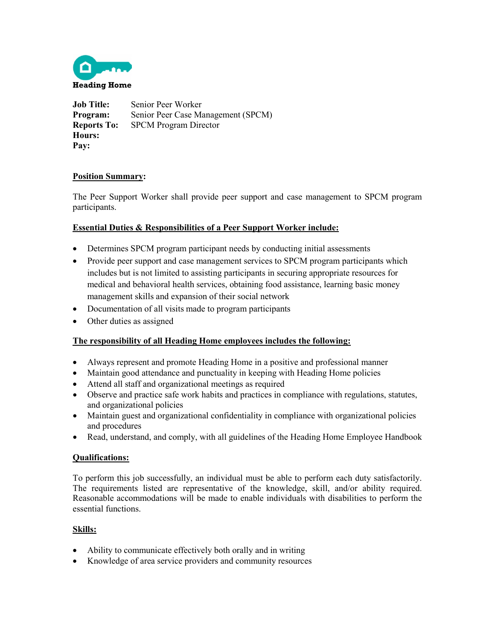

**Job Title:** Senior Peer Worker **Program:** Senior Peer Case Management (SPCM) **Reports To:** SPCM Program Director **Hours: Pay:** 

# **Position Summary:**

The Peer Support Worker shall provide peer support and case management to SPCM program participants.

## **Essential Duties & Responsibilities of a Peer Support Worker include:**

- Determines SPCM program participant needs by conducting initial assessments
- Provide peer support and case management services to SPCM program participants which includes but is not limited to assisting participants in securing appropriate resources for medical and behavioral health services, obtaining food assistance, learning basic money management skills and expansion of their social network
- Documentation of all visits made to program participants
- Other duties as assigned

#### **The responsibility of all Heading Home employees includes the following:**

- Always represent and promote Heading Home in a positive and professional manner
- Maintain good attendance and punctuality in keeping with Heading Home policies
- Attend all staff and organizational meetings as required
- Observe and practice safe work habits and practices in compliance with regulations, statutes, and organizational policies
- Maintain guest and organizational confidentiality in compliance with organizational policies and procedures
- Read, understand, and comply, with all guidelines of the Heading Home Employee Handbook

#### **Qualifications:**

To perform this job successfully, an individual must be able to perform each duty satisfactorily. The requirements listed are representative of the knowledge, skill, and/or ability required. Reasonable accommodations will be made to enable individuals with disabilities to perform the essential functions.

#### **Skills:**

- Ability to communicate effectively both orally and in writing
- Knowledge of area service providers and community resources